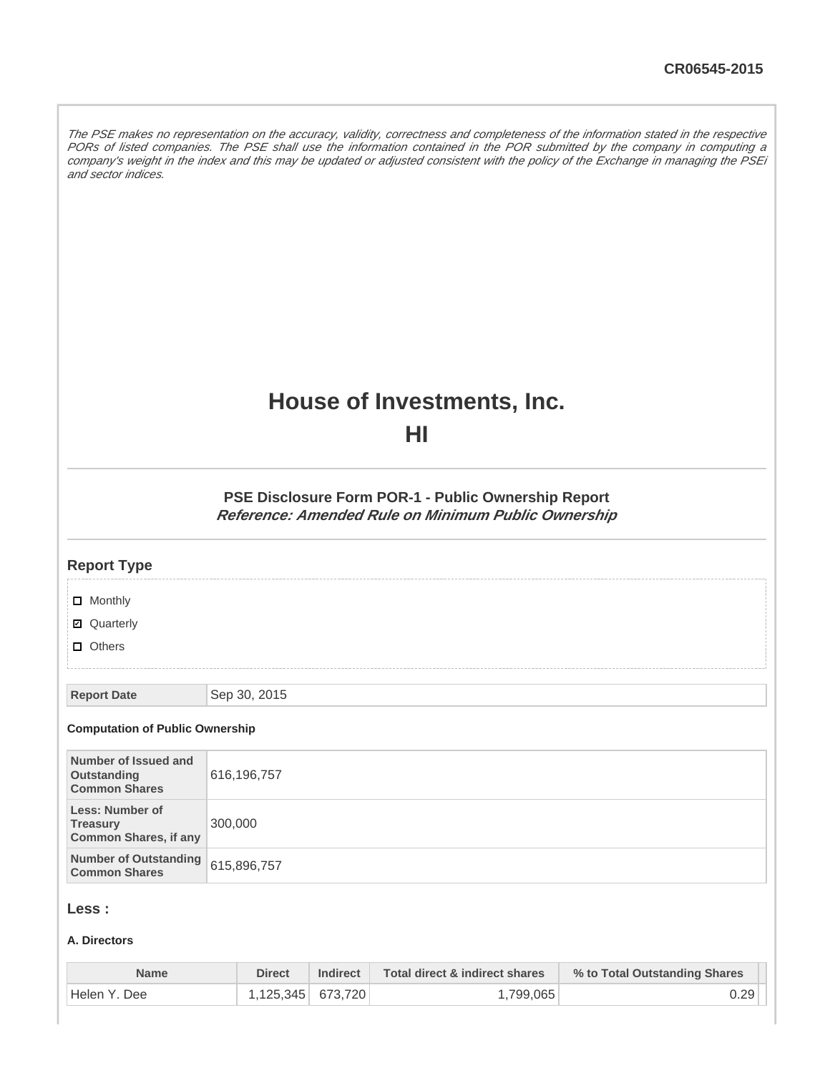The PSE makes no representation on the accuracy, validity, correctness and completeness of the information stated in the respective PORs of listed companies. The PSE shall use the information contained in the POR submitted by the company in computing a company's weight in the index and this may be updated or adjusted consistent with the policy of the Exchange in managing the PSEi and sector indices.

# **House of Investments, Inc.**

**HI**

**PSE Disclosure Form POR-1 - Public Ownership Report Reference: Amended Rule on Minimum Public Ownership**

| <b>Report Type</b>                                                        |              |
|---------------------------------------------------------------------------|--------------|
| $\Box$ Monthly                                                            |              |
| ■ Quarterly                                                               |              |
| $\Box$ Others                                                             |              |
| <b>Report Date</b>                                                        | Sep 30, 2015 |
| <b>Computation of Public Ownership</b>                                    |              |
| Number of Issued and<br>Outstanding<br><b>Common Shares</b>               | 616,196,757  |
| <b>Less: Number of</b><br><b>Treasury</b><br><b>Common Shares, if any</b> | 300,000      |
| <b>Number of Outstanding</b><br><b>Common Shares</b>                      | 615,896,757  |
|                                                                           |              |

## **Less :**

#### **A. Directors**

| <b>Name</b>    | <b>Direct</b>       | <b>Indirect</b> | Total direct & indirect shares | % to Total Outstanding Shares |
|----------------|---------------------|-----------------|--------------------------------|-------------------------------|
| ' Helen Y. Dee | $1.125.345$ 673.720 |                 | ا 799.065. ا                   | 0.29                          |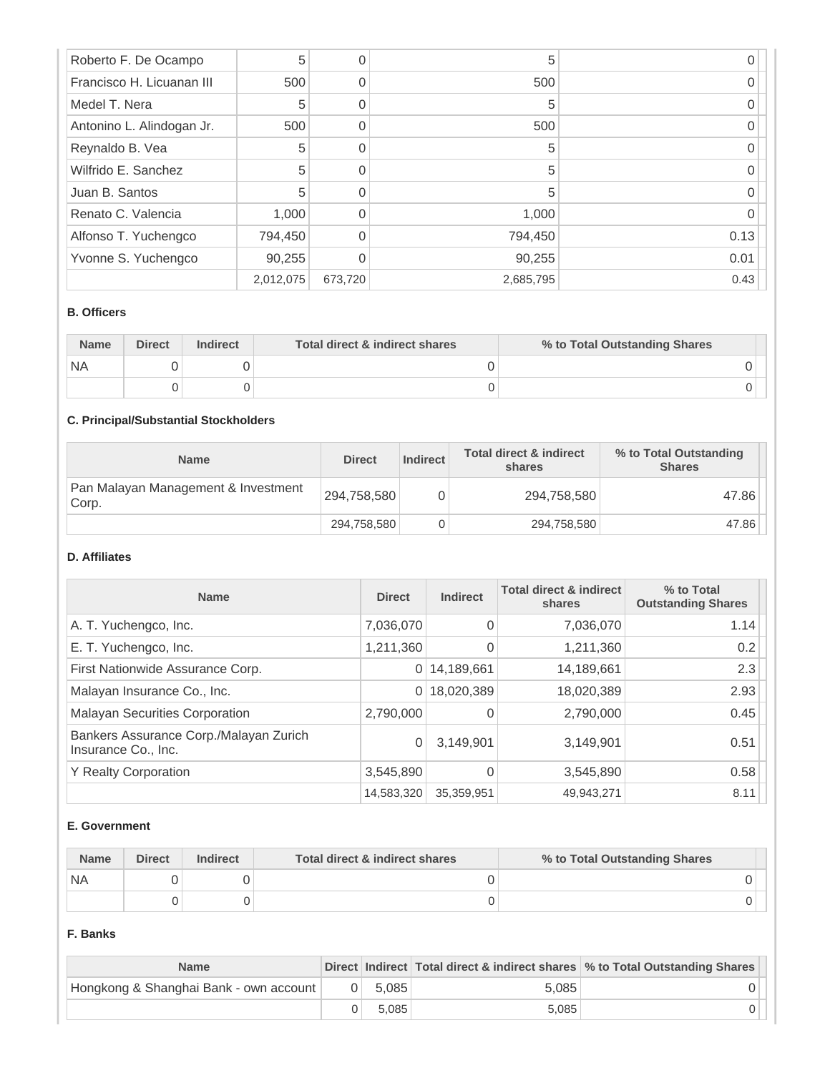| Roberto F. De Ocampo      | 5         |         | 5         |      |
|---------------------------|-----------|---------|-----------|------|
| Francisco H. Licuanan III | 500       |         | 500       |      |
| Medel T. Nera             | 5         |         | 5         |      |
| Antonino L. Alindogan Jr. | 500       |         | 500       |      |
| Reynaldo B. Vea           | 5         |         | 5         |      |
| Wilfrido E. Sanchez       | 5         |         | 5         |      |
| Juan B. Santos            | 5         |         | 5         |      |
| Renato C. Valencia        | 1,000     |         | 1,000     |      |
| Alfonso T. Yuchengco      | 794,450   |         | 794,450   | 0.13 |
| Yvonne S. Yuchengco       | 90,255    |         | 90,255    | 0.01 |
|                           | 2,012,075 | 673,720 | 2,685,795 | 0.43 |

#### **B. Officers**

| <b>Name</b> | <b>Direct</b> | <b>Indirect</b> | Total direct & indirect shares | % to Total Outstanding Shares |
|-------------|---------------|-----------------|--------------------------------|-------------------------------|
| `NA         |               |                 |                                |                               |
|             |               |                 |                                |                               |

# **C. Principal/Substantial Stockholders**

| <b>Name</b>                                  | <b>Direct</b> | <b>Indirect</b> | <b>Total direct &amp; indirect</b><br>shares | % to Total Outstanding<br><b>Shares</b> |
|----------------------------------------------|---------------|-----------------|----------------------------------------------|-----------------------------------------|
| Pan Malayan Management & Investment<br>Corp. | 294,758,580   |                 | 294,758,580                                  | 47.86                                   |
|                                              | 294,758,580   |                 | 294,758,580                                  | 47.86                                   |

### **D. Affiliates**

| <b>Name</b>                                                   | <b>Direct</b> | <b>Indirect</b> | <b>Total direct &amp; indirect</b><br>shares | % to Total<br><b>Outstanding Shares</b> |
|---------------------------------------------------------------|---------------|-----------------|----------------------------------------------|-----------------------------------------|
| A. T. Yuchengco, Inc.                                         | 7,036,070     | $\Omega$        | 7,036,070                                    | 1.14                                    |
| E. T. Yuchengco, Inc.                                         | 1,211,360     | 0               | 1,211,360                                    | 0.2                                     |
| First Nationwide Assurance Corp.                              | 0             | 14,189,661      | 14,189,661                                   | 2.3                                     |
| Malayan Insurance Co., Inc.                                   | 0             | 18,020,389      | 18,020,389                                   | 2.93                                    |
| <b>Malayan Securities Corporation</b>                         | 2,790,000     |                 | 2,790,000                                    | 0.45                                    |
| Bankers Assurance Corp./Malayan Zurich<br>Insurance Co., Inc. | 0             | 3,149,901       | 3,149,901                                    | 0.51                                    |
| <b>Y Realty Corporation</b>                                   | 3,545,890     |                 | 3,545,890                                    | 0.58                                    |
|                                                               | 14,583,320    | 35,359,951      | 49,943,271                                   | 8.11                                    |

#### **E. Government**

| <b>Name</b> | <b>Direct</b><br><b>Indirect</b> |  | Total direct & indirect shares | % to Total Outstanding Shares |  |
|-------------|----------------------------------|--|--------------------------------|-------------------------------|--|
| `NA         |                                  |  |                                |                               |  |
|             |                                  |  |                                |                               |  |

#### **F. Banks**

| <b>Name</b>                            |           |       | Direct Indirect Total direct & indirect shares % to Total Outstanding Shares |
|----------------------------------------|-----------|-------|------------------------------------------------------------------------------|
| Hongkong & Shanghai Bank - own account | $0$ 5.085 | 5.085 |                                                                              |
|                                        | 5.085     | 5.085 |                                                                              |